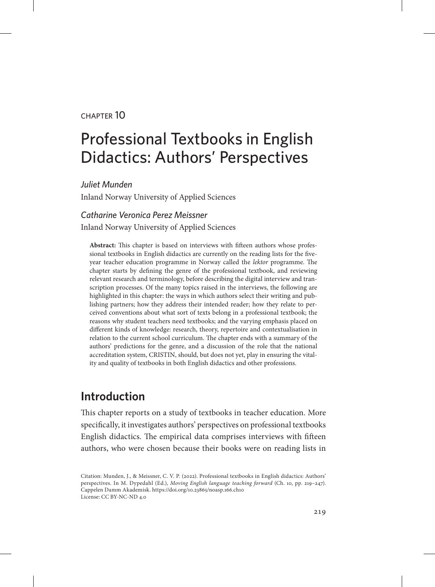#### chapter 10

# Professional Textbooks in English Didactics: Authors' Perspectives

*Juliet Munden*

Inland Norway University of Applied Sciences

#### *Catharine Veronica Perez Meissner*

Inland Norway University of Applied Sciences

**Abstract:** This chapter is based on interviews with fifteen authors whose professional textbooks in English didactics are currently on the reading lists for the fiveyear teacher education programme in Norway called the *lektor* programme. The chapter starts by defining the genre of the professional textbook, and reviewing relevant research and terminology, before describing the digital interview and transcription processes. Of the many topics raised in the interviews, the following are highlighted in this chapter: the ways in which authors select their writing and publishing partners; how they address their intended reader; how they relate to perceived conventions about what sort of texts belong in a professional textbook; the reasons why student teachers need textbooks; and the varying emphasis placed on different kinds of knowledge: research, theory, repertoire and contextualisation in relation to the current school curriculum. The chapter ends with a summary of the authors' predictions for the genre, and a discussion of the role that the national accreditation system, CRISTIN, should, but does not yet, play in ensuring the vitality and quality of textbooks in both English didactics and other professions.

## **Introduction**

This chapter reports on a study of textbooks in teacher education. More specifically, it investigates authors' perspectives on professional textbooks English didactics. The empirical data comprises interviews with fifteen authors, who were chosen because their books were on reading lists in

Citation: Munden, J., & Meissner, C. V. P. (2022). Professional textbooks in English didactics: Authors' perspectives. In M. Dypedahl (Ed.), *Moving English language teaching forward* (Ch. 10, pp. 219–247). Cappelen Damm Akademisk. https://doi.org/10.23865/noasp.166.ch10 License: CC BY-NC-ND 4.0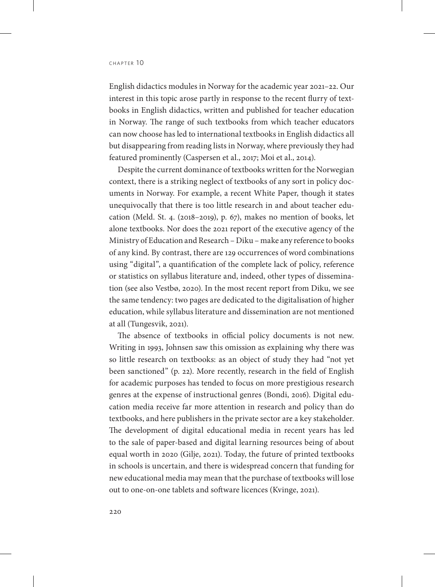English didactics modules in Norway for the academic year 2021–22. Our interest in this topic arose partly in response to the recent flurry of textbooks in English didactics, written and published for teacher education in Norway. The range of such textbooks from which teacher educators can now choose has led to international textbooks in English didactics all but disappearing from reading lists in Norway, where previously they had featured prominently (Caspersen et al., 2017; Moi et al., 2014).

Despite the current dominance of textbooks written for the Norwegian context, there is a striking neglect of textbooks of any sort in policy documents in Norway. For example, a recent White Paper, though it states unequivocally that there is too little research in and about teacher education (Meld. St. 4. (2018–2019), p. 67), makes no mention of books, let alone textbooks. Nor does the 2021 report of the executive agency of the Ministry of Education and Research – Diku – make any reference to books of any kind. By contrast, there are 129 occurrences of word combinations using "digital", a quantification of the complete lack of policy, reference or statistics on syllabus literature and, indeed, other types of dissemination (see also Vestbø, 2020). In the most recent report from Diku, we see the same tendency: two pages are dedicated to the digitalisation of higher education, while syllabus literature and dissemination are not mentioned at all (Tungesvik, 2021).

The absence of textbooks in official policy documents is not new. Writing in 1993, Johnsen saw this omission as explaining why there was so little research on textbooks: as an object of study they had "not yet been sanctioned" (p. 22). More recently, research in the field of English for academic purposes has tended to focus on more prestigious research genres at the expense of instructional genres (Bondi, 2016). Digital education media receive far more attention in research and policy than do textbooks, and here publishers in the private sector are a key stakeholder. The development of digital educational media in recent years has led to the sale of paper-based and digital learning resources being of about equal worth in 2020 (Gilje, 2021). Today, the future of printed textbooks in schools is uncertain, and there is widespread concern that funding for new educational media may mean that the purchase of textbooks will lose out to one-on-one tablets and software licences (Kvinge, 2021).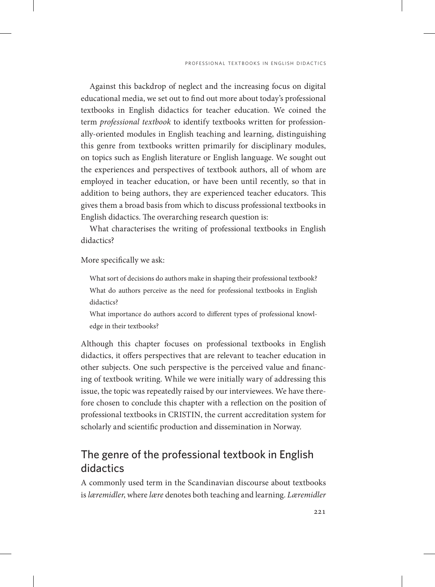Against this backdrop of neglect and the increasing focus on digital educational media, we set out to find out more about today's professional textbooks in English didactics for teacher education. We coined the term *professional textbook* to identify textbooks written for professionally-oriented modules in English teaching and learning, distinguishing this genre from textbooks written primarily for disciplinary modules, on topics such as English literature or English language. We sought out the experiences and perspectives of textbook authors, all of whom are employed in teacher education, or have been until recently, so that in addition to being authors, they are experienced teacher educators. This gives them a broad basis from which to discuss professional textbooks in English didactics. The overarching research question is:

What characterises the writing of professional textbooks in English didactics?

More specifically we ask:

What sort of decisions do authors make in shaping their professional textbook? What do authors perceive as the need for professional textbooks in English didactics?

What importance do authors accord to different types of professional knowledge in their textbooks?

Although this chapter focuses on professional textbooks in English didactics, it offers perspectives that are relevant to teacher education in other subjects. One such perspective is the perceived value and financing of textbook writing. While we were initially wary of addressing this issue, the topic was repeatedly raised by our interviewees. We have therefore chosen to conclude this chapter with a reflection on the position of professional textbooks in CRISTIN, the current accreditation system for scholarly and scientific production and dissemination in Norway.

# The genre of the professional textbook in English didactics

A commonly used term in the Scandinavian discourse about textbooks is *læremidler*, where *lære* denotes both teaching and learning. *Læremidler*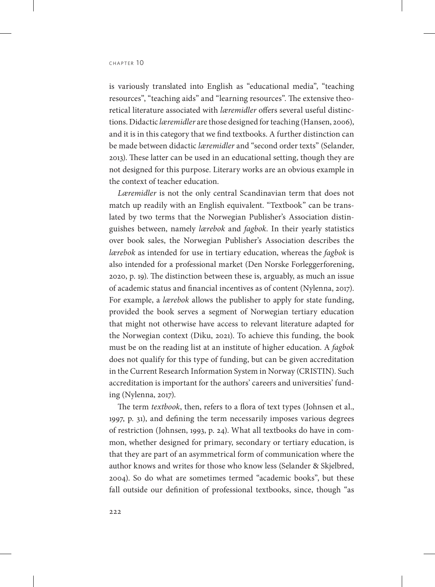is variously translated into English as "educational media", "teaching resources", "teaching aids" and "learning resources". The extensive theoretical literature associated with *læremidler* offers several useful distinctions. Didactic *læremidler* are those designed for teaching (Hansen, 2006), and it is in this category that we find textbooks. A further distinction can be made between didactic *læremidler* and "second order texts" (Selander, 2013). These latter can be used in an educational setting, though they are not designed for this purpose. Literary works are an obvious example in the context of teacher education.

*Læremidler* is not the only central Scandinavian term that does not match up readily with an English equivalent. "Textbook" can be translated by two terms that the Norwegian Publisher's Association distinguishes between, namely *lærebok* and *fagbok*. In their yearly statistics over book sales, the Norwegian Publisher's Association describes the *lærebok* as intended for use in tertiary education, whereas the *fagbok* is also intended for a professional market (Den Norske Forleggerforening, 2020, p. 19). The distinction between these is, arguably, as much an issue of academic status and financial incentives as of content (Nylenna, 2017). For example, a *lærebok* allows the publisher to apply for state funding, provided the book serves a segment of Norwegian tertiary education that might not otherwise have access to relevant literature adapted for the Norwegian context (Diku, 2021). To achieve this funding, the book must be on the reading list at an institute of higher education. A *fagbok* does not qualify for this type of funding, but can be given accreditation in the Current Research Information System in Norway (CRISTIN). Such accreditation is important for the authors' careers and universities' funding (Nylenna, 2017).

The term *textbook*, then, refers to a flora of text types (Johnsen et al., 1997, p. 31), and defining the term necessarily imposes various degrees of restriction (Johnsen, 1993, p. 24). What all textbooks do have in common, whether designed for primary, secondary or tertiary education, is that they are part of an asymmetrical form of communication where the author knows and writes for those who know less (Selander & Skjelbred, 2004). So do what are sometimes termed "academic books", but these fall outside our definition of professional textbooks, since, though "as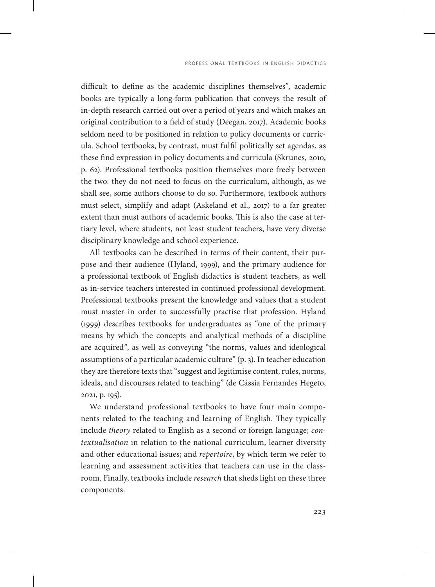difficult to define as the academic disciplines themselves", academic books are typically a long-form publication that conveys the result of in-depth research carried out over a period of years and which makes an original contribution to a field of study (Deegan, 2017). Academic books seldom need to be positioned in relation to policy documents or curricula. School textbooks, by contrast, must fulfil politically set agendas, as these find expression in policy documents and curricula (Skrunes, 2010, p. 62). Professional textbooks position themselves more freely between the two: they do not need to focus on the curriculum, although, as we shall see, some authors choose to do so. Furthermore, textbook authors must select, simplify and adapt (Askeland et al., 2017) to a far greater extent than must authors of academic books. This is also the case at tertiary level, where students, not least student teachers, have very diverse disciplinary knowledge and school experience.

All textbooks can be described in terms of their content, their purpose and their audience (Hyland, 1999), and the primary audience for a professional textbook of English didactics is student teachers, as well as in-service teachers interested in continued professional development. Professional textbooks present the knowledge and values that a student must master in order to successfully practise that profession. Hyland (1999) describes textbooks for undergraduates as "one of the primary means by which the concepts and analytical methods of a discipline are acquired", as well as conveying "the norms, values and ideological assumptions of a particular academic culture" (p. 3). In teacher education they are therefore texts that "suggest and legitimise content, rules, norms, ideals, and discourses related to teaching" (de Cássia Fernandes Hegeto, 2021, p. 195).

We understand professional textbooks to have four main components related to the teaching and learning of English. They typically include *theory* related to English as a second or foreign language; *contextualisation* in relation to the national curriculum, learner diversity and other educational issues; and *repertoire*, by which term we refer to learning and assessment activities that teachers can use in the classroom. Finally, textbooks include *research* that sheds light on these three components.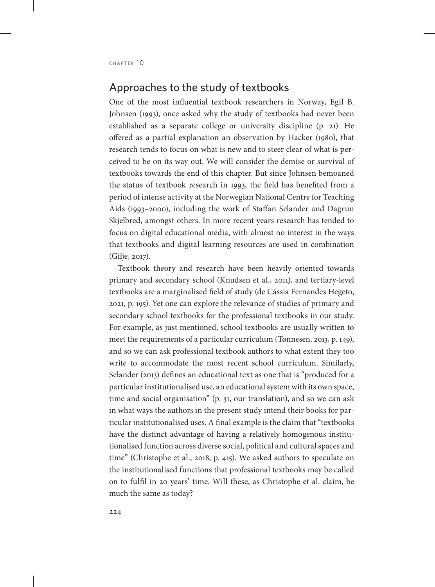#### Approaches to the study of textbooks

One of the most influential textbook researchers in Norway, Egil B. Johnsen (1993), once asked why the study of textbooks had never been established as a separate college or university discipline (p. 21). He offered as a partial explanation an observation by Hacker (1980), that research tends to focus on what is new and to steer clear of what is perceived to be on its way out. We will consider the demise or survival of textbooks towards the end of this chapter. But since Johnsen bemoaned the status of textbook research in 1993, the field has benefited from a period of intense activity at the Norwegian National Centre for Teaching Aids (1993–2000), including the work of Staffan Selander and Dagrun Skjelbred, amongst others. In more recent years research has tended to focus on digital educational media, with almost no interest in the ways that textbooks and digital learning resources are used in combination (Gilje, 2017).

Textbook theory and research have been heavily oriented towards primary and secondary school (Knudsen et al., 2011), and tertiary-level textbooks are a marginalised field of study (de Cássia Fernandes Hegeto, 2021, p. 195). Yet one can explore the relevance of studies of primary and secondary school textbooks for the professional textbooks in our study. For example, as just mentioned, school textbooks are usually written to meet the requirements of a particular curriculum (Tønnesen, 2013, p. 149), and so we can ask professional textbook authors to what extent they too write to accommodate the most recent school curriculum. Similarly, Selander (2013) defines an educational text as one that is "produced for a particular institutionalised use, an educational system with its own space, time and social organisation" (p. 31, our translation), and so we can ask in what ways the authors in the present study intend their books for particular institutionalised uses. A final example is the claim that "textbooks have the distinct advantage of having a relatively homogenous institutionalised function across diverse social, political and cultural spaces and time" (Christophe et al., 2018, p. 415). We asked authors to speculate on the institutionalised functions that professional textbooks may be called on to fulfil in 20 years' time. Will these, as Christophe et al. claim, be much the same as today?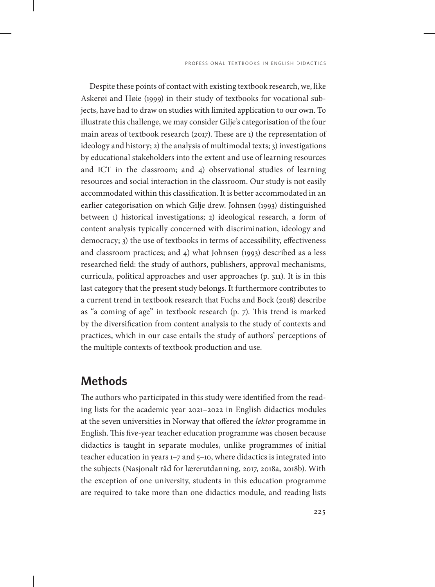Despite these points of contact with existing textbook research, we, like Askerøi and Høie (1999) in their study of textbooks for vocational subjects, have had to draw on studies with limited application to our own. To illustrate this challenge, we may consider Gilje's categorisation of the four main areas of textbook research (2017). These are 1) the representation of ideology and history; 2) the analysis of multimodal texts; 3) investigations by educational stakeholders into the extent and use of learning resources and ICT in the classroom; and 4) observational studies of learning resources and social interaction in the classroom. Our study is not easily accommodated within this classification. It is better accommodated in an earlier categorisation on which Gilje drew. Johnsen (1993) distinguished between 1) historical investigations; 2) ideological research, a form of content analysis typically concerned with discrimination, ideology and democracy; 3) the use of textbooks in terms of accessibility, effectiveness and classroom practices; and 4) what Johnsen (1993) described as a less researched field: the study of authors, publishers, approval mechanisms, curricula, political approaches and user approaches (p. 311). It is in this last category that the present study belongs. It furthermore contributes to a current trend in textbook research that Fuchs and Bock (2018) describe as "a coming of age" in textbook research (p. 7). This trend is marked by the diversification from content analysis to the study of contexts and practices, which in our case entails the study of authors' perceptions of the multiple contexts of textbook production and use.

## **Methods**

The authors who participated in this study were identified from the reading lists for the academic year 2021–2022 in English didactics modules at the seven universities in Norway that offered the *lektor* programme in English. This five-year teacher education programme was chosen because didactics is taught in separate modules, unlike programmes of initial teacher education in years 1–7 and 5–10, where didactics is integrated into the subjects (Nasjonalt råd for lærerutdanning, 2017, 2018a, 2018b). With the exception of one university, students in this education programme are required to take more than one didactics module, and reading lists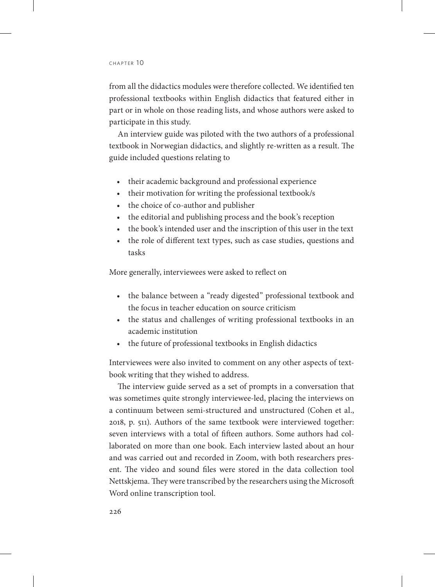from all the didactics modules were therefore collected. We identified ten professional textbooks within English didactics that featured either in part or in whole on those reading lists, and whose authors were asked to participate in this study.

An interview guide was piloted with the two authors of a professional textbook in Norwegian didactics, and slightly re-written as a result. The guide included questions relating to

- their academic background and professional experience
- their motivation for writing the professional textbook/s
- the choice of co-author and publisher
- the editorial and publishing process and the book's reception
- the book's intended user and the inscription of this user in the text
- the role of different text types, such as case studies, questions and tasks

More generally, interviewees were asked to reflect on

- the balance between a "ready digested" professional textbook and the focus in teacher education on source criticism
- the status and challenges of writing professional textbooks in an academic institution
- the future of professional textbooks in English didactics

Interviewees were also invited to comment on any other aspects of textbook writing that they wished to address.

The interview guide served as a set of prompts in a conversation that was sometimes quite strongly interviewee-led, placing the interviews on a continuum between semi-structured and unstructured (Cohen et al., 2018, p. 511). Authors of the same textbook were interviewed together: seven interviews with a total of fifteen authors. Some authors had collaborated on more than one book. Each interview lasted about an hour and was carried out and recorded in Zoom, with both researchers present. The video and sound files were stored in the data collection tool Nettskjema. They were transcribed by the researchers using the Microsoft Word online transcription tool.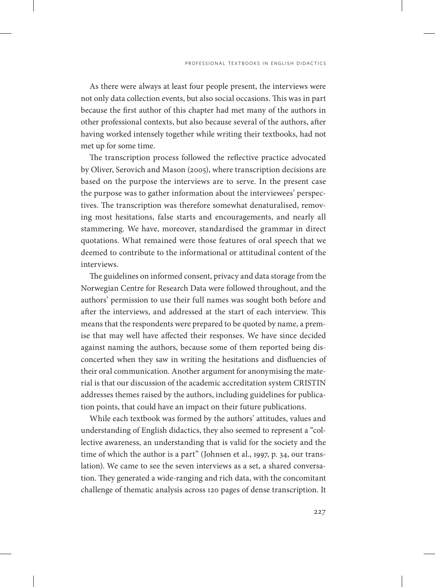As there were always at least four people present, the interviews were not only data collection events, but also social occasions. This was in part because the first author of this chapter had met many of the authors in other professional contexts, but also because several of the authors, after having worked intensely together while writing their textbooks, had not met up for some time.

The transcription process followed the reflective practice advocated by Oliver, Serovich and Mason (2005), where transcription decisions are based on the purpose the interviews are to serve. In the present case the purpose was to gather information about the interviewees' perspectives. The transcription was therefore somewhat denaturalised, removing most hesitations, false starts and encouragements, and nearly all stammering. We have, moreover, standardised the grammar in direct quotations. What remained were those features of oral speech that we deemed to contribute to the informational or attitudinal content of the interviews.

The guidelines on informed consent, privacy and data storage from the Norwegian Centre for Research Data were followed throughout, and the authors' permission to use their full names was sought both before and after the interviews, and addressed at the start of each interview. This means that the respondents were prepared to be quoted by name, a premise that may well have affected their responses. We have since decided against naming the authors, because some of them reported being disconcerted when they saw in writing the hesitations and disfluencies of their oral communication. Another argument for anonymising the material is that our discussion of the academic accreditation system CRISTIN addresses themes raised by the authors, including guidelines for publication points, that could have an impact on their future publications.

While each textbook was formed by the authors' attitudes, values and understanding of English didactics, they also seemed to represent a "collective awareness, an understanding that is valid for the society and the time of which the author is a part" (Johnsen et al., 1997, p. 34, our translation). We came to see the seven interviews as a set, a shared conversation. They generated a wide-ranging and rich data, with the concomitant challenge of thematic analysis across 120 pages of dense transcription. It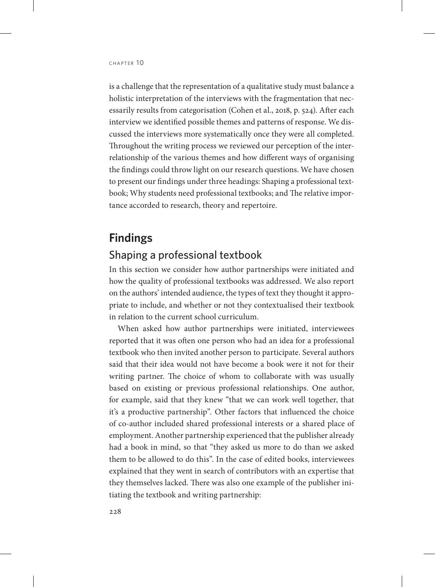is a challenge that the representation of a qualitative study must balance a holistic interpretation of the interviews with the fragmentation that necessarily results from categorisation (Cohen et al., 2018, p. 524). After each interview we identified possible themes and patterns of response. We discussed the interviews more systematically once they were all completed. Throughout the writing process we reviewed our perception of the interrelationship of the various themes and how different ways of organising the findings could throw light on our research questions. We have chosen to present our findings under three headings: Shaping a professional textbook; Why students need professional textbooks; and The relative importance accorded to research, theory and repertoire.

## **Findings**

#### Shaping a professional textbook

In this section we consider how author partnerships were initiated and how the quality of professional textbooks was addressed. We also report on the authors' intended audience, the types of text they thought it appropriate to include, and whether or not they contextualised their textbook in relation to the current school curriculum.

When asked how author partnerships were initiated, interviewees reported that it was often one person who had an idea for a professional textbook who then invited another person to participate. Several authors said that their idea would not have become a book were it not for their writing partner. The choice of whom to collaborate with was usually based on existing or previous professional relationships. One author, for example, said that they knew "that we can work well together, that it's a productive partnership". Other factors that influenced the choice of co-author included shared professional interests or a shared place of employment. Another partnership experienced that the publisher already had a book in mind, so that "they asked us more to do than we asked them to be allowed to do this". In the case of edited books, interviewees explained that they went in search of contributors with an expertise that they themselves lacked. There was also one example of the publisher initiating the textbook and writing partnership: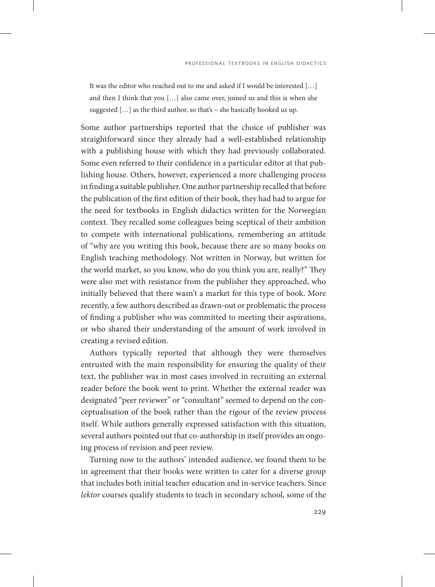It was the editor who reached out to me and asked if I would be interested […] and then I think that you […] also came over, joined us and this is when she suggested […] as the third author, so that's – she basically hooked us up.

Some author partnerships reported that the choice of publisher was straightforward since they already had a well-established relationship with a publishing house with which they had previously collaborated. Some even referred to their confidence in a particular editor at that publishing house. Others, however, experienced a more challenging process in finding a suitable publisher. One author partnership recalled that before the publication of the first edition of their book, they had had to argue for the need for textbooks in English didactics written for the Norwegian context. They recalled some colleagues being sceptical of their ambition to compete with international publications, remembering an attitude of "why are you writing this book, because there are so many books on English teaching methodology. Not written in Norway, but written for the world market, so you know, who do you think you are, really?" They were also met with resistance from the publisher they approached, who initially believed that there wasn't a market for this type of book. More recently, a few authors described as drawn-out or problematic the process of finding a publisher who was committed to meeting their aspirations, or who shared their understanding of the amount of work involved in creating a revised edition.

Authors typically reported that although they were themselves entrusted with the main responsibility for ensuring the quality of their text, the publisher was in most cases involved in recruiting an external reader before the book went to print. Whether the external reader was designated "peer reviewer" or "consultant" seemed to depend on the conceptualisation of the book rather than the rigour of the review process itself. While authors generally expressed satisfaction with this situation, several authors pointed out that co-authorship in itself provides an ongoing process of revision and peer review.

Turning now to the authors' intended audience, we found them to be in agreement that their books were written to cater for a diverse group that includes both initial teacher education and in-service teachers. Since *lektor* courses qualify students to teach in secondary school, some of the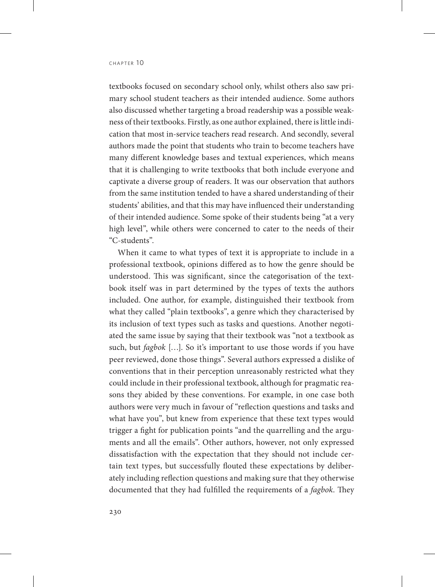textbooks focused on secondary school only, whilst others also saw primary school student teachers as their intended audience. Some authors also discussed whether targeting a broad readership was a possible weakness of their textbooks. Firstly, as one author explained, there is little indication that most in-service teachers read research. And secondly, several authors made the point that students who train to become teachers have many different knowledge bases and textual experiences, which means that it is challenging to write textbooks that both include everyone and captivate a diverse group of readers. It was our observation that authors from the same institution tended to have a shared understanding of their students' abilities, and that this may have influenced their understanding of their intended audience. Some spoke of their students being "at a very high level", while others were concerned to cater to the needs of their "C-students".

When it came to what types of text it is appropriate to include in a professional textbook, opinions differed as to how the genre should be understood. This was significant, since the categorisation of the textbook itself was in part determined by the types of texts the authors included. One author, for example, distinguished their textbook from what they called "plain textbooks", a genre which they characterised by its inclusion of text types such as tasks and questions. Another negotiated the same issue by saying that their textbook was "not a textbook as such, but *fagbok* […]. So it's important to use those words if you have peer reviewed, done those things". Several authors expressed a dislike of conventions that in their perception unreasonably restricted what they could include in their professional textbook, although for pragmatic reasons they abided by these conventions. For example, in one case both authors were very much in favour of "reflection questions and tasks and what have you", but knew from experience that these text types would trigger a fight for publication points "and the quarrelling and the arguments and all the emails". Other authors, however, not only expressed dissatisfaction with the expectation that they should not include certain text types, but successfully flouted these expectations by deliberately including reflection questions and making sure that they otherwise documented that they had fulfilled the requirements of a *fagbok*. They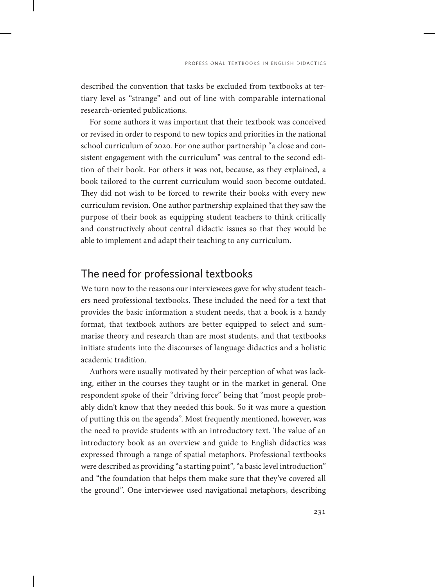described the convention that tasks be excluded from textbooks at tertiary level as "strange" and out of line with comparable international research-oriented publications.

For some authors it was important that their textbook was conceived or revised in order to respond to new topics and priorities in the national school curriculum of 2020. For one author partnership "a close and consistent engagement with the curriculum" was central to the second edition of their book. For others it was not, because, as they explained, a book tailored to the current curriculum would soon become outdated. They did not wish to be forced to rewrite their books with every new curriculum revision. One author partnership explained that they saw the purpose of their book as equipping student teachers to think critically and constructively about central didactic issues so that they would be able to implement and adapt their teaching to any curriculum.

#### The need for professional textbooks

We turn now to the reasons our interviewees gave for why student teachers need professional textbooks. These included the need for a text that provides the basic information a student needs, that a book is a handy format, that textbook authors are better equipped to select and summarise theory and research than are most students, and that textbooks initiate students into the discourses of language didactics and a holistic academic tradition.

Authors were usually motivated by their perception of what was lacking, either in the courses they taught or in the market in general. One respondent spoke of their "driving force" being that "most people probably didn't know that they needed this book. So it was more a question of putting this on the agenda". Most frequently mentioned, however, was the need to provide students with an introductory text. The value of an introductory book as an overview and guide to English didactics was expressed through a range of spatial metaphors. Professional textbooks were described as providing "a starting point", "a basic level introduction" and "the foundation that helps them make sure that they've covered all the ground". One interviewee used navigational metaphors, describing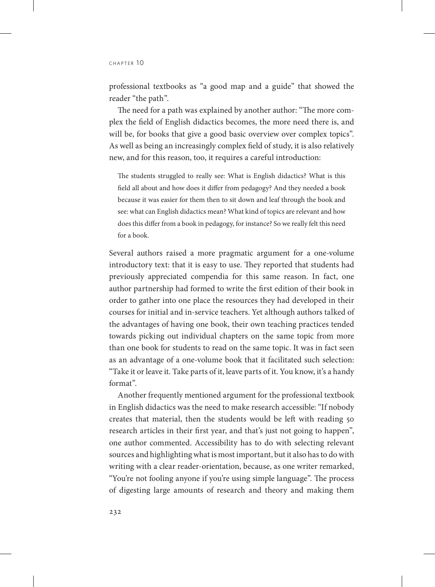professional textbooks as "a good map and a guide" that showed the reader "the path".

The need for a path was explained by another author: "The more complex the field of English didactics becomes, the more need there is, and will be, for books that give a good basic overview over complex topics". As well as being an increasingly complex field of study, it is also relatively new, and for this reason, too, it requires a careful introduction:

The students struggled to really see: What is English didactics? What is this field all about and how does it differ from pedagogy? And they needed a book because it was easier for them then to sit down and leaf through the book and see: what can English didactics mean? What kind of topics are relevant and how does this differ from a book in pedagogy, for instance? So we really felt this need for a book.

Several authors raised a more pragmatic argument for a one-volume introductory text: that it is easy to use. They reported that students had previously appreciated compendia for this same reason. In fact, one author partnership had formed to write the first edition of their book in order to gather into one place the resources they had developed in their courses for initial and in-service teachers. Yet although authors talked of the advantages of having one book, their own teaching practices tended towards picking out individual chapters on the same topic from more than one book for students to read on the same topic. It was in fact seen as an advantage of a one-volume book that it facilitated such selection: "Take it or leave it. Take parts of it, leave parts of it. You know, it's a handy format".

Another frequently mentioned argument for the professional textbook in English didactics was the need to make research accessible: "If nobody creates that material, then the students would be left with reading 50 research articles in their first year, and that's just not going to happen", one author commented. Accessibility has to do with selecting relevant sources and highlighting what is most important, but it also has to do with writing with a clear reader-orientation, because, as one writer remarked, "You're not fooling anyone if you're using simple language". The process of digesting large amounts of research and theory and making them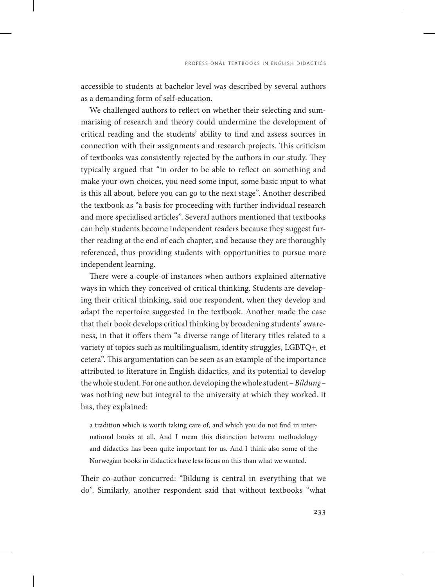accessible to students at bachelor level was described by several authors as a demanding form of self-education.

We challenged authors to reflect on whether their selecting and summarising of research and theory could undermine the development of critical reading and the students' ability to find and assess sources in connection with their assignments and research projects. This criticism of textbooks was consistently rejected by the authors in our study. They typically argued that "in order to be able to reflect on something and make your own choices, you need some input, some basic input to what is this all about, before you can go to the next stage". Another described the textbook as "a basis for proceeding with further individual research and more specialised articles". Several authors mentioned that textbooks can help students become independent readers because they suggest further reading at the end of each chapter, and because they are thoroughly referenced, thus providing students with opportunities to pursue more independent learning.

There were a couple of instances when authors explained alternative ways in which they conceived of critical thinking. Students are developing their critical thinking, said one respondent, when they develop and adapt the repertoire suggested in the textbook. Another made the case that their book develops critical thinking by broadening students' awareness, in that it offers them "a diverse range of literary titles related to a variety of topics such as multilingualism, identity struggles, LGBTQ+, et cetera". This argumentation can be seen as an example of the importance attributed to literature in English didactics, and its potential to develop the whole student. For one author, developing the whole student – *Bildung –*  was nothing new but integral to the university at which they worked. It has, they explained:

a tradition which is worth taking care of, and which you do not find in international books at all. And I mean this distinction between methodology and didactics has been quite important for us. And I think also some of the Norwegian books in didactics have less focus on this than what we wanted.

Their co-author concurred: "Bildung is central in everything that we do". Similarly, another respondent said that without textbooks "what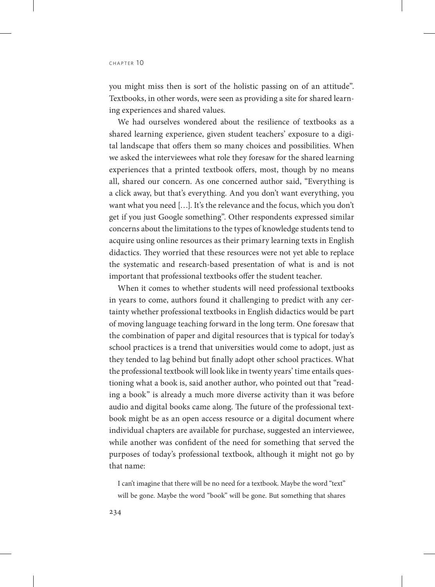you might miss then is sort of the holistic passing on of an attitude". Textbooks, in other words, were seen as providing a site for shared learning experiences and shared values.

We had ourselves wondered about the resilience of textbooks as a shared learning experience, given student teachers' exposure to a digital landscape that offers them so many choices and possibilities. When we asked the interviewees what role they foresaw for the shared learning experiences that a printed textbook offers, most, though by no means all, shared our concern. As one concerned author said, "Everything is a click away, but that's everything. And you don't want everything, you want what you need […]. It's the relevance and the focus, which you don't get if you just Google something". Other respondents expressed similar concerns about the limitations to the types of knowledge students tend to acquire using online resources as their primary learning texts in English didactics. They worried that these resources were not yet able to replace the systematic and research-based presentation of what is and is not important that professional textbooks offer the student teacher.

When it comes to whether students will need professional textbooks in years to come, authors found it challenging to predict with any certainty whether professional textbooks in English didactics would be part of moving language teaching forward in the long term. One foresaw that the combination of paper and digital resources that is typical for today's school practices is a trend that universities would come to adopt, just as they tended to lag behind but finally adopt other school practices. What the professional textbook will look like in twenty years' time entails questioning what a book is, said another author, who pointed out that "reading a book" is already a much more diverse activity than it was before audio and digital books came along. The future of the professional textbook might be as an open access resource or a digital document where individual chapters are available for purchase, suggested an interviewee, while another was confident of the need for something that served the purposes of today's professional textbook, although it might not go by that name:

I can't imagine that there will be no need for a textbook. Maybe the word "text" will be gone. Maybe the word "book" will be gone. But something that shares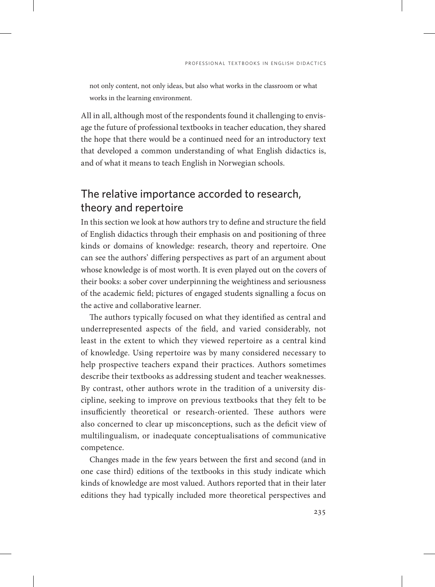not only content, not only ideas, but also what works in the classroom or what works in the learning environment.

All in all, although most of the respondents found it challenging to envisage the future of professional textbooks in teacher education, they shared the hope that there would be a continued need for an introductory text that developed a common understanding of what English didactics is, and of what it means to teach English in Norwegian schools.

## The relative importance accorded to research, theory and repertoire

In this section we look at how authors try to define and structure the field of English didactics through their emphasis on and positioning of three kinds or domains of knowledge: research, theory and repertoire. One can see the authors' differing perspectives as part of an argument about whose knowledge is of most worth. It is even played out on the covers of their books: a sober cover underpinning the weightiness and seriousness of the academic field; pictures of engaged students signalling a focus on the active and collaborative learner.

The authors typically focused on what they identified as central and underrepresented aspects of the field, and varied considerably, not least in the extent to which they viewed repertoire as a central kind of knowledge. Using repertoire was by many considered necessary to help prospective teachers expand their practices. Authors sometimes describe their textbooks as addressing student and teacher weaknesses. By contrast, other authors wrote in the tradition of a university discipline, seeking to improve on previous textbooks that they felt to be insufficiently theoretical or research-oriented. These authors were also concerned to clear up misconceptions, such as the deficit view of multilingualism, or inadequate conceptualisations of communicative competence.

Changes made in the few years between the first and second (and in one case third) editions of the textbooks in this study indicate which kinds of knowledge are most valued. Authors reported that in their later editions they had typically included more theoretical perspectives and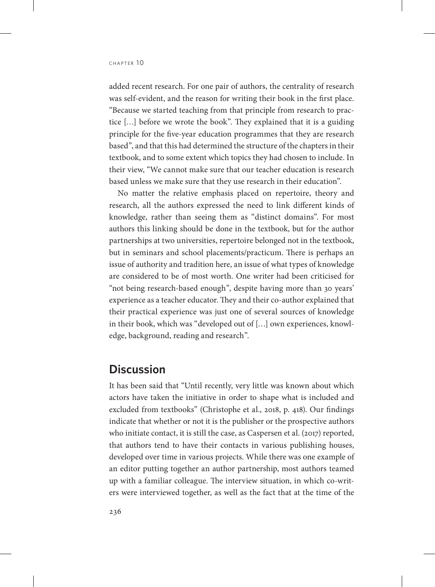added recent research. For one pair of authors, the centrality of research was self-evident, and the reason for writing their book in the first place. "Because we started teaching from that principle from research to practice […] before we wrote the book". They explained that it is a guiding principle for the five-year education programmes that they are research based", and that this had determined the structure of the chapters in their textbook, and to some extent which topics they had chosen to include. In their view, "We cannot make sure that our teacher education is research based unless we make sure that they use research in their education".

No matter the relative emphasis placed on repertoire, theory and research, all the authors expressed the need to link different kinds of knowledge, rather than seeing them as "distinct domains". For most authors this linking should be done in the textbook, but for the author partnerships at two universities, repertoire belonged not in the textbook, but in seminars and school placements/practicum. There is perhaps an issue of authority and tradition here, an issue of what types of knowledge are considered to be of most worth. One writer had been criticised for "not being research-based enough", despite having more than 30 years' experience as a teacher educator. They and their co-author explained that their practical experience was just one of several sources of knowledge in their book, which was "developed out of […] own experiences, knowledge, background, reading and research".

## **Discussion**

It has been said that "Until recently, very little was known about which actors have taken the initiative in order to shape what is included and excluded from textbooks" (Christophe et al., 2018, p. 418). Our findings indicate that whether or not it is the publisher or the prospective authors who initiate contact, it is still the case, as Caspersen et al. (2017) reported, that authors tend to have their contacts in various publishing houses, developed over time in various projects. While there was one example of an editor putting together an author partnership, most authors teamed up with a familiar colleague. The interview situation, in which co-writers were interviewed together, as well as the fact that at the time of the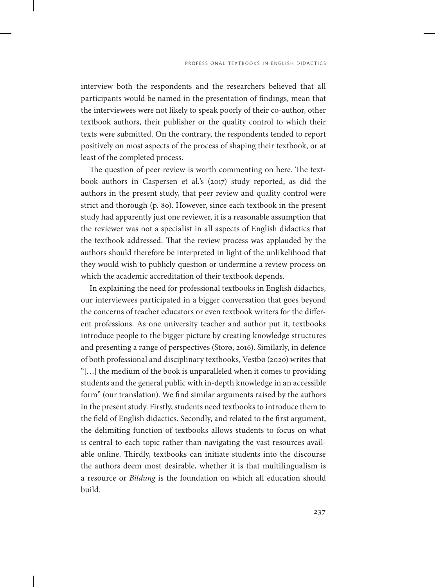interview both the respondents and the researchers believed that all participants would be named in the presentation of findings, mean that the interviewees were not likely to speak poorly of their co-author, other textbook authors, their publisher or the quality control to which their texts were submitted. On the contrary, the respondents tended to report positively on most aspects of the process of shaping their textbook, or at least of the completed process.

The question of peer review is worth commenting on here. The textbook authors in Caspersen et al.'s (2017) study reported, as did the authors in the present study, that peer review and quality control were strict and thorough (p. 80). However, since each textbook in the present study had apparently just one reviewer, it is a reasonable assumption that the reviewer was not a specialist in all aspects of English didactics that the textbook addressed. That the review process was applauded by the authors should therefore be interpreted in light of the unlikelihood that they would wish to publicly question or undermine a review process on which the academic accreditation of their textbook depends.

In explaining the need for professional textbooks in English didactics, our interviewees participated in a bigger conversation that goes beyond the concerns of teacher educators or even textbook writers for the different professions. As one university teacher and author put it, textbooks introduce people to the bigger picture by creating knowledge structures and presenting a range of perspectives (Storø, 2016). Similarly, in defence of both professional and disciplinary textbooks, Vestbø (2020) writes that "[…] the medium of the book is unparalleled when it comes to providing students and the general public with in-depth knowledge in an accessible form" (our translation). We find similar arguments raised by the authors in the present study. Firstly, students need textbooks to introduce them to the field of English didactics. Secondly, and related to the first argument, the delimiting function of textbooks allows students to focus on what is central to each topic rather than navigating the vast resources available online. Thirdly, textbooks can initiate students into the discourse the authors deem most desirable, whether it is that multilingualism is a resource or *Bildung* is the foundation on which all education should build.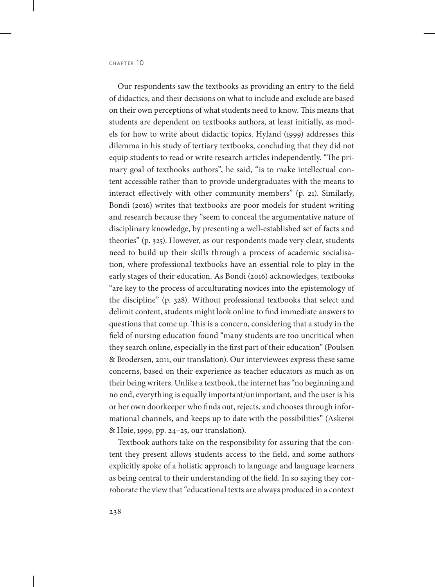Our respondents saw the textbooks as providing an entry to the field of didactics, and their decisions on what to include and exclude are based on their own perceptions of what students need to know. This means that students are dependent on textbooks authors, at least initially, as models for how to write about didactic topics. Hyland (1999) addresses this dilemma in his study of tertiary textbooks, concluding that they did not equip students to read or write research articles independently. "The primary goal of textbooks authors", he said, "is to make intellectual content accessible rather than to provide undergraduates with the means to interact effectively with other community members" (p. 21). Similarly, Bondi (2016) writes that textbooks are poor models for student writing and research because they "seem to conceal the argumentative nature of disciplinary knowledge, by presenting a well-established set of facts and theories" (p. 325). However, as our respondents made very clear, students need to build up their skills through a process of academic socialisation, where professional textbooks have an essential role to play in the early stages of their education. As Bondi (2016) acknowledges, textbooks "are key to the process of acculturating novices into the epistemology of the discipline" (p. 328). Without professional textbooks that select and delimit content, students might look online to find immediate answers to questions that come up. This is a concern, considering that a study in the field of nursing education found "many students are too uncritical when they search online, especially in the first part of their education" (Poulsen & Brodersen, 2011, our translation). Our interviewees express these same concerns, based on their experience as teacher educators as much as on their being writers. Unlike a textbook, the internet has "no beginning and no end, everything is equally important/unimportant, and the user is his or her own doorkeeper who finds out, rejects, and chooses through informational channels, and keeps up to date with the possibilities" (Askerøi & Høie, 1999, pp. 24–25, our translation).

Textbook authors take on the responsibility for assuring that the content they present allows students access to the field, and some authors explicitly spoke of a holistic approach to language and language learners as being central to their understanding of the field. In so saying they corroborate the view that "educational texts are always produced in a context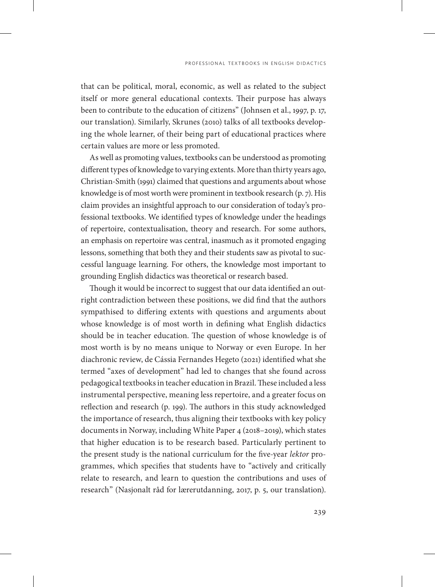that can be political, moral, economic, as well as related to the subject itself or more general educational contexts. Their purpose has always been to contribute to the education of citizens" (Johnsen et al., 1997, p. 17, our translation). Similarly, Skrunes (2010) talks of all textbooks developing the whole learner, of their being part of educational practices where certain values are more or less promoted.

As well as promoting values, textbooks can be understood as promoting different types of knowledge to varying extents. More than thirty years ago, Christian-Smith (1991) claimed that questions and arguments about whose knowledge is of most worth were prominent in textbook research (p. 7). His claim provides an insightful approach to our consideration of today's professional textbooks. We identified types of knowledge under the headings of repertoire, contextualisation, theory and research. For some authors, an emphasis on repertoire was central, inasmuch as it promoted engaging lessons, something that both they and their students saw as pivotal to successful language learning. For others, the knowledge most important to grounding English didactics was theoretical or research based.

Though it would be incorrect to suggest that our data identified an outright contradiction between these positions, we did find that the authors sympathised to differing extents with questions and arguments about whose knowledge is of most worth in defining what English didactics should be in teacher education. The question of whose knowledge is of most worth is by no means unique to Norway or even Europe. In her diachronic review, de Cássia Fernandes Hegeto (2021) identified what she termed "axes of development" had led to changes that she found across pedagogical textbooks in teacher education in Brazil. These included a less instrumental perspective, meaning less repertoire, and a greater focus on reflection and research (p. 199). The authors in this study acknowledged the importance of research, thus aligning their textbooks with key policy documents in Norway, including White Paper 4 (2018–2019), which states that higher education is to be research based. Particularly pertinent to the present study is the national curriculum for the five-year *lektor* programmes, which specifies that students have to "actively and critically relate to research, and learn to question the contributions and uses of research" (Nasjonalt råd for lærerutdanning, 2017, p. 5, our translation).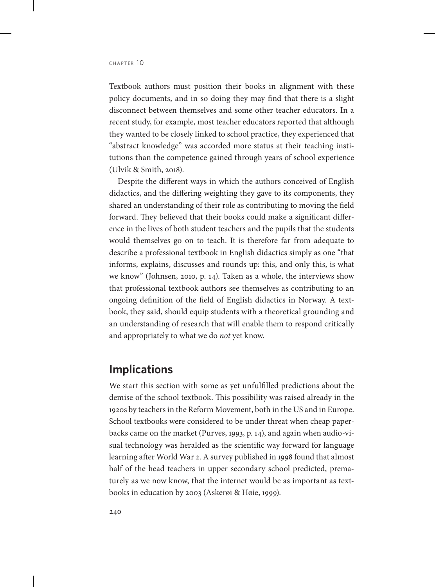Textbook authors must position their books in alignment with these policy documents, and in so doing they may find that there is a slight disconnect between themselves and some other teacher educators. In a recent study, for example, most teacher educators reported that although they wanted to be closely linked to school practice, they experienced that "abstract knowledge" was accorded more status at their teaching institutions than the competence gained through years of school experience (Ulvik & Smith, 2018).

Despite the different ways in which the authors conceived of English didactics, and the differing weighting they gave to its components, they shared an understanding of their role as contributing to moving the field forward. They believed that their books could make a significant difference in the lives of both student teachers and the pupils that the students would themselves go on to teach. It is therefore far from adequate to describe a professional textbook in English didactics simply as one "that informs, explains, discusses and rounds up: this, and only this, is what we know" (Johnsen, 2010, p. 14). Taken as a whole, the interviews show that professional textbook authors see themselves as contributing to an ongoing definition of the field of English didactics in Norway. A textbook, they said, should equip students with a theoretical grounding and an understanding of research that will enable them to respond critically and appropriately to what we do *not* yet know.

#### **Implications**

We start this section with some as yet unfulfilled predictions about the demise of the school textbook. This possibility was raised already in the 1920s by teachers in the Reform Movement, both in the US and in Europe. School textbooks were considered to be under threat when cheap paperbacks came on the market (Purves, 1993, p. 14), and again when audio-visual technology was heralded as the scientific way forward for language learning after World War 2. A survey published in 1998 found that almost half of the head teachers in upper secondary school predicted, prematurely as we now know, that the internet would be as important as textbooks in education by 2003 (Askerøi & Høie, 1999).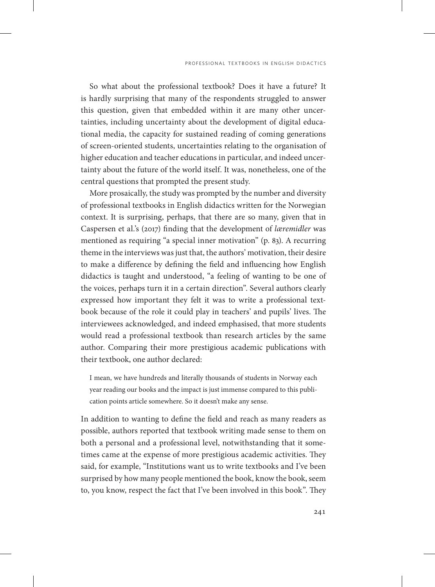So what about the professional textbook? Does it have a future? It is hardly surprising that many of the respondents struggled to answer this question, given that embedded within it are many other uncertainties, including uncertainty about the development of digital educational media, the capacity for sustained reading of coming generations of screen-oriented students, uncertainties relating to the organisation of higher education and teacher educations in particular, and indeed uncertainty about the future of the world itself. It was, nonetheless, one of the central questions that prompted the present study.

More prosaically, the study was prompted by the number and diversity of professional textbooks in English didactics written for the Norwegian context. It is surprising, perhaps, that there are so many, given that in Caspersen et al.'s (2017) finding that the development of *læremidler* was mentioned as requiring "a special inner motivation" (p. 83). A recurring theme in the interviews was just that, the authors' motivation, their desire to make a difference by defining the field and influencing how English didactics is taught and understood, "a feeling of wanting to be one of the voices, perhaps turn it in a certain direction". Several authors clearly expressed how important they felt it was to write a professional textbook because of the role it could play in teachers' and pupils' lives. The interviewees acknowledged, and indeed emphasised, that more students would read a professional textbook than research articles by the same author. Comparing their more prestigious academic publications with their textbook, one author declared:

I mean, we have hundreds and literally thousands of students in Norway each year reading our books and the impact is just immense compared to this publication points article somewhere. So it doesn't make any sense.

In addition to wanting to define the field and reach as many readers as possible, authors reported that textbook writing made sense to them on both a personal and a professional level, notwithstanding that it sometimes came at the expense of more prestigious academic activities. They said, for example, "Institutions want us to write textbooks and I've been surprised by how many people mentioned the book, know the book, seem to, you know, respect the fact that I've been involved in this book". They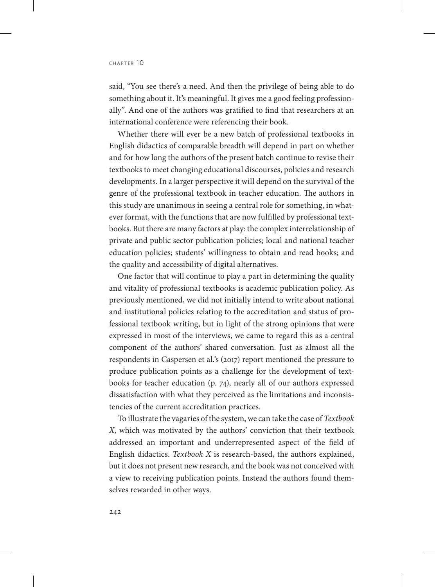said, "You see there's a need. And then the privilege of being able to do something about it. It's meaningful. It gives me a good feeling professionally". And one of the authors was gratified to find that researchers at an international conference were referencing their book.

Whether there will ever be a new batch of professional textbooks in English didactics of comparable breadth will depend in part on whether and for how long the authors of the present batch continue to revise their textbooks to meet changing educational discourses, policies and research developments. In a larger perspective it will depend on the survival of the genre of the professional textbook in teacher education. The authors in this study are unanimous in seeing a central role for something, in whatever format, with the functions that are now fulfilled by professional textbooks. But there are many factors at play: the complex interrelationship of private and public sector publication policies; local and national teacher education policies; students' willingness to obtain and read books; and the quality and accessibility of digital alternatives.

One factor that will continue to play a part in determining the quality and vitality of professional textbooks is academic publication policy. As previously mentioned, we did not initially intend to write about national and institutional policies relating to the accreditation and status of professional textbook writing, but in light of the strong opinions that were expressed in most of the interviews, we came to regard this as a central component of the authors' shared conversation. Just as almost all the respondents in Caspersen et al.'s (2017) report mentioned the pressure to produce publication points as a challenge for the development of textbooks for teacher education (p. 74), nearly all of our authors expressed dissatisfaction with what they perceived as the limitations and inconsistencies of the current accreditation practices.

To illustrate the vagaries of the system, we can take the case of *Textbook X*, which was motivated by the authors' conviction that their textbook addressed an important and underrepresented aspect of the field of English didactics. *Textbook X* is research-based, the authors explained, but it does not present new research, and the book was not conceived with a view to receiving publication points. Instead the authors found themselves rewarded in other ways.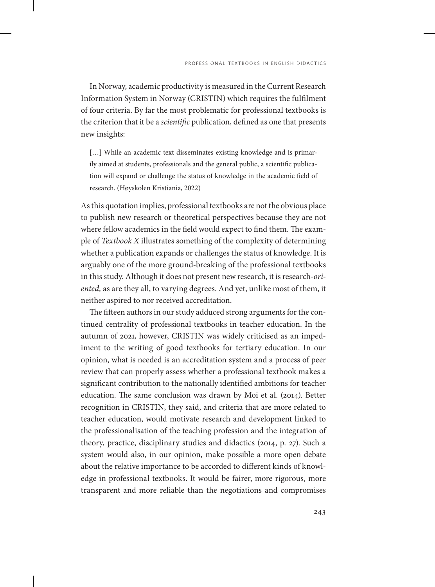In Norway, academic productivity is measured in the Current Research Information System in Norway (CRISTIN) which requires the fulfilment of four criteria. By far the most problematic for professional textbooks is the criterion that it be a *scientific* publication, defined as one that presents new insights:

[...] While an academic text disseminates existing knowledge and is primarily aimed at students, professionals and the general public, a scientific publication will expand or challenge the status of knowledge in the academic field of research. (Høyskolen Kristiania, 2022)

As this quotation implies, professional textbooks are not the obvious place to publish new research or theoretical perspectives because they are not where fellow academics in the field would expect to find them. The example of *Textbook X* illustrates something of the complexity of determining whether a publication expands or challenges the status of knowledge. It is arguably one of the more ground-breaking of the professional textbooks in this study. Although it does not present new research, it is research-*oriented,* as are they all, to varying degrees. And yet, unlike most of them, it neither aspired to nor received accreditation.

The fifteen authors in our study adduced strong arguments for the continued centrality of professional textbooks in teacher education. In the autumn of 2021, however, CRISTIN was widely criticised as an impediment to the writing of good textbooks for tertiary education. In our opinion, what is needed is an accreditation system and a process of peer review that can properly assess whether a professional textbook makes a significant contribution to the nationally identified ambitions for teacher education. The same conclusion was drawn by Moi et al. (2014). Better recognition in CRISTIN, they said, and criteria that are more related to teacher education, would motivate research and development linked to the professionalisation of the teaching profession and the integration of theory, practice, disciplinary studies and didactics (2014, p. 27). Such a system would also, in our opinion, make possible a more open debate about the relative importance to be accorded to different kinds of knowledge in professional textbooks. It would be fairer, more rigorous, more transparent and more reliable than the negotiations and compromises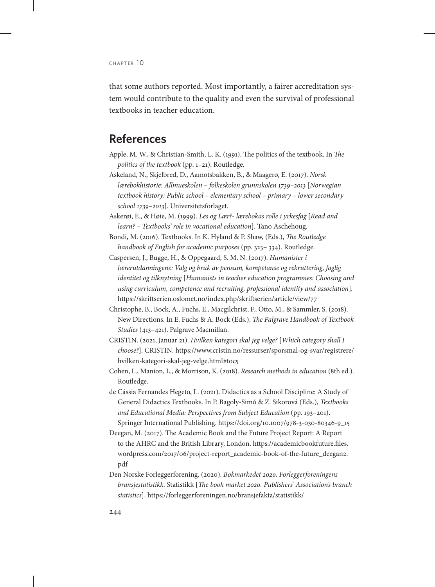that some authors reported. Most importantly, a fairer accreditation system would contribute to the quality and even the survival of professional textbooks in teacher education.

#### **References**

- Apple, M. W., & Christian-Smith, L. K. (1991). The politics of the textbook. In *The politics of the textbook* (pp. 1–21). Routledge.
- Askeland, N., Skjelbred, D., Aamotsbakken, B., & Maagerø, E. (2017). *Norsk lærebokhistorie*: *Allmueskolen – folkeskolen grunnskolen 1739–2013* [*Norwegian textbook history: Public school – elementary school – primary – lower secondary school 1739–2013*]. Universitetsforlaget.
- Askerøi, E., & Høie, M. (1999). *Les og Lær?- lærebokas rolle i yrkesfag* [*Read and learn? – Textbooks' role in vocational education*]. Tano Aschehoug.
- Bondi, M. (2016). Textbooks. In K. Hyland & P. Shaw, (Eds.), *The Routledge handbook of English for academic purposes* (pp. 323– 334). Routledge.
- Caspersen, J., Bugge, H., & Oppegaard, S. M. N. (2017). *Humanister i lærerutdanningene: Valg og bruk av pensum, kompetanse og rekruttering, faglig identitet og tilknytning* [*Humanists in teacher education programmes: Choosing and using curriculum, competence and recruiting, professional identity and association*]*.* <https://skriftserien.oslomet.no/index.php/skriftserien/article/view/77>
- Christophe, B., Bock, A., Fuchs, E., Macgilchrist, F., Otto, M., & Sammler, S. (2018). New Directions. In E. Fuchs & A. Bock (Eds.), *The Palgrave Handbook of Textbook Studies* (413–421). Palgrave Macmillan.
- CRISTIN. (2021, Januar 21). *Hvilken kategori skal jeg velge?* [*Which category shall I choose?*]. CRISTIN. [https://www.cristin.no/ressurser/sporsmal-og-svar/registrere/](https://www.cristin.no/ressurser/sporsmal-og-svar/registrere/hvilken-kategori-skal-jeg-velge.html#toc5) [hvilken-kategori-skal-jeg-velge.html#toc5](https://www.cristin.no/ressurser/sporsmal-og-svar/registrere/hvilken-kategori-skal-jeg-velge.html#toc5)
- Cohen, L., Manion, L., & Morrison, K. (2018). *Research methods in education* (8th ed.). Routledge.
- de Cássia Fernandes Hegeto, L. (2021). Didactics as a School Discipline: A Study of General Didactics Textbooks. In P. Bagoly-Simó & Z. Sikorová (Eds.), *Textbooks and Educational Media: Perspectives from Subject Education* (pp. 193–201). Springer International Publishing. [https://doi.org/10.1007/978-3-030-80346-9\\_15](https://doi.org/10.1007/978-3-030-80346-9_15)
- Deegan, M. (2017). The Academic Book and the Future Project Report: A Report to the AHRC and the British Library, London. [https://academicbookfuture.files.](https://academicbookfuture.files.wordpress.com/2017/06/project-report_academic-book-of-the-future_deegan2.pdf) [wordpress.com/2017/06/project-report\\_academic-book-of-the-future\\_deegan2.](https://academicbookfuture.files.wordpress.com/2017/06/project-report_academic-book-of-the-future_deegan2.pdf) [pdf](https://academicbookfuture.files.wordpress.com/2017/06/project-report_academic-book-of-the-future_deegan2.pdf)
- Den Norske Forleggerforening. (2020). *Bokmarkedet 2020. Forleggerforeningens bransjestatistikk.* Statistikk [*The book market 2020. Publishers' Association's branch statistics*].<https://forleggerforeningen.no/bransjefakta/statistikk/>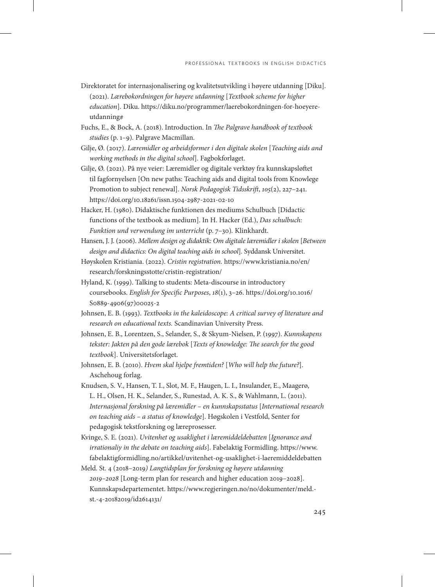- Direktoratet for internasjonalisering og kvalitetsutvikling i høyere utdanning [Diku]. (2021). *Lærebokordningen for høyere utdanning* [*Textbook scheme for higher education*]*.* Diku. [https://diku.no/programmer/laerebokordningen-for-hoeyere](https://diku.no/programmer/laerebokordningen-for-hoeyere-utdanning#)[utdanning#](https://diku.no/programmer/laerebokordningen-for-hoeyere-utdanning#)
- Fuchs, E., & Bock, A. (2018). Introduction. In *The Palgrave handbook of textbook studies* (p. 1–9)*.* Palgrave Macmillan.
- Gilje, Ø. (2017). *Læremidler og arbeidsformer i den digitale skolen* [*Teaching aids and working methods in the digital school*]*.* Fagbokforlaget.
- Gilje, Ø. (2021). På nye veier: Læremidler og digitale verktøy fra kunnskapsløftet til fagfornyelsen [On new paths: Teaching aids and digital tools from Knowlege Promotion to subject renewal]. *Norsk Pedagogisk Tidsskrift*, *105*(2), 227–241. <https://doi.org/10.18261/issn.1504-2987-2021-02-10>
- Hacker, H. (1980). Didaktische funktionen des mediums Schulbuch [Didactic functions of the textbook as medium]. In H. Hacker (Ed.), *Das schulbuch: Funktion und verwendung im unterricht* (p. 7–30)*.* Klinkhardt.
- Hansen, J. J. (2006). *Mellem design og didaktik: Om digitale læremidler i skolen* [*Between design and didactics: On digital teaching aids in school*]*.* Syddansk Universitet.
- Høyskolen Kristiania. (2022). *Cristin registration.* [https://www.kristiania.no/en/](https://www.kristiania.no/en/research/forskningsstotte/cristin-registration/) [research/forskningsstotte/cristin-registration/](https://www.kristiania.no/en/research/forskningsstotte/cristin-registration/)
- Hyland, K. (1999). Talking to students: Meta-discourse in introductory coursebooks. *English for Specific Purposes*, *18*(1), 3–26. [https://doi.org/10.1016/](https://doi.org/10.1016/S0889-4906(97)00025-2) [S0889-4906\(97\)00025-2](https://doi.org/10.1016/S0889-4906(97)00025-2)
- Johnsen, E. B. (1993). *Textbooks in the kaleidoscope: A critical survey of literature and research on educational texts.* Scandinavian University Press.
- Johnsen, E. B., Lorentzen, S., Selander, S., & Skyum-Nielsen, P. (1997). *Kunnskapens tekster: Jakten på den gode lærebok* [*Texts of knowledge: The search for the good textbook*]. Universitetsforlaget.
- Johnsen, E. B. (2010). *Hvem skal hjelpe fremtiden?* [*Who will help the future?*]. Aschehoug forlag.
- Knudsen, S. V., Hansen, T. I., Slot, M. F., Haugen, L. I., Insulander, E., Maagerø, L. H., Olsen, H. K., Selander, S., Runestad, A. K. S., & Wahlmann, L. (2011). *Internasjonal forskning på læremidler – en kunnskapsstatus* [*International research on teaching aids – a status of knowledge*]. Høgskolen i Vestfold, Senter for pedagogisk tekstforskning og læreprosesser.
- Kvinge, S. E. (2021). *Uvitenhet og usaklighet i læremiddeldebatten* [*Ignorance and irrationaliy in the debate on teaching aids*]. Fabelaktig Formidling. [https://www.](https://www.fabelaktigformidling.no/artikkel/uvitenhet-og-usaklighet-i-laeremiddeldebatten) [fabelaktigformidling.no/artikkel/uvitenhet-og-usaklighet-i-laeremiddeldebatten](https://www.fabelaktigformidling.no/artikkel/uvitenhet-og-usaklighet-i-laeremiddeldebatten)
- Meld. St. 4 (2018–2019*) Langtidsplan for forskning og høyere utdanning 2019–2028* [Long-term plan for research and higher education 2019–2028]. Kunnskapsdepartementet. [https://www.regjeringen.no/no/dokumenter/meld.](https://www.regjeringen.no/no/dokumenter/meld.-st.-4-20182019/id2614131/) [st.-4-20182019/id2614131/](https://www.regjeringen.no/no/dokumenter/meld.-st.-4-20182019/id2614131/)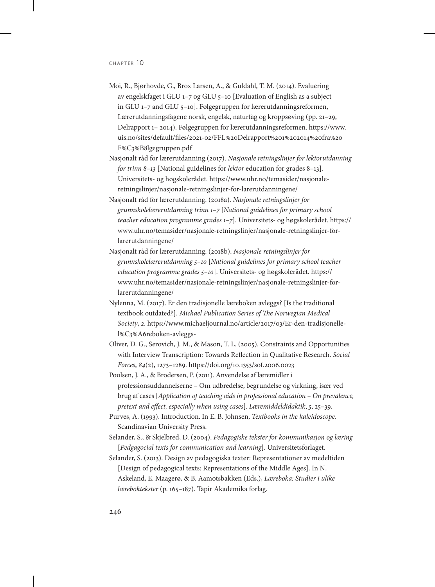- Moi, R., Bjørhovde, G., Brox Larsen, A., & Guldahl, T. M. (2014). Evaluering av engelskfaget i GLU 1–7 og GLU 5–10 [Evaluation of English as a subject in GLU 1–7 and GLU 5–10]. Følgegruppen for lærerutdanningsreformen, Lærerutdanningsfagene norsk, engelsk, naturfag og kroppsøving (pp. 21–29, Delrapport 1– 2014). Følgegruppen for lærerutdanningsreformen. [https://www.](https://www.uis.no/sites/default/files/2021-02/FFL Delrapport 1 2014 fra F%C3%B8lgegruppen.pdf) [uis.no/sites/default/files/2021-02/FFL%20Delrapport%201%202014%20fra%20](https://www.uis.no/sites/default/files/2021-02/FFL Delrapport 1 2014 fra F%C3%B8lgegruppen.pdf) [F%C3%B8lgegruppen.pdf](https://www.uis.no/sites/default/files/2021-02/FFL Delrapport 1 2014 fra F%C3%B8lgegruppen.pdf)
- Nasjonalt råd for lærerutdanning.(2017). *Nasjonale retningslinjer for lektorutdanning for trinn 8–13* [National guidelines for *lektor* education for grades 8–13]*.*  Universitets- og høgskolerådet. [https://www.uhr.no/temasider/nasjonale](https://www.uhr.no/temasider/nasjonale-retningslinjer/nasjonale-retningslinjer-for-larerutdanningene/)[retningslinjer/nasjonale-retningslinjer-for-larerutdanningene/](https://www.uhr.no/temasider/nasjonale-retningslinjer/nasjonale-retningslinjer-for-larerutdanningene/)
- Nasjonalt råd for lærerutdanning. (2018a). *Nasjonale retningslinjer for grunnskolelærerutdanning trinn 1–7* [*National guidelines for primary school teacher education programme grades 1–7*]*.* Universitets- og høgskolerådet. [https://](https://www.uhr.no/temasider/nasjonale-retningslinjer/nasjonale-retningslinjer-for-larerutdanningene/) [www.uhr.no/temasider/nasjonale-retningslinjer/nasjonale-retningslinjer-for](https://www.uhr.no/temasider/nasjonale-retningslinjer/nasjonale-retningslinjer-for-larerutdanningene/)[larerutdanningene/](https://www.uhr.no/temasider/nasjonale-retningslinjer/nasjonale-retningslinjer-for-larerutdanningene/)
- Nasjonalt råd for lærerutdanning. (2018b). *Nasjonale retningslinjer for grunnskolelærerutdanning 5–10* [*National guidelines for primary school teacher education programme grades 5–10*]. Universitets- og høgskolerådet. [https://](https://www.uhr.no/temasider/nasjonale-retningslinjer/nasjonale-retningslinjer-for-larerutdanningene/) [www.uhr.no/temasider/nasjonale-retningslinjer/nasjonale-retningslinjer-for](https://www.uhr.no/temasider/nasjonale-retningslinjer/nasjonale-retningslinjer-for-larerutdanningene/)[larerutdanningene/](https://www.uhr.no/temasider/nasjonale-retningslinjer/nasjonale-retningslinjer-for-larerutdanningene/)
- Nylenna, M. (2017). Er den tradisjonelle læreboken avleggs? [Is the traditional textbook outdated?]. *Michael Publication Series of The Norwegian Medical Society*, *2*. [https://www.michaeljournal.no/article/2017/03/Er-den-tradisjonelle](https://www.michaeljournal.no/article/2017/03/Er-den-tradisjonelle-l%C3%A6reboken-avleggs-)[l%C3%A6reboken-avleggs-](https://www.michaeljournal.no/article/2017/03/Er-den-tradisjonelle-l%C3%A6reboken-avleggs-)
- Oliver, D. G., Serovich, J. M., & Mason, T. L. (2005). Constraints and Opportunities with Interview Transcription: Towards Reflection in Qualitative Research. *Social Forces*, *84*(2), 1273–1289.<https://doi.org/10.1353/sof.2006.0023>
- Poulsen, J. A., & Brodersen, P. (2011). Anvendelse af læremidler i professionsuddannelserne – Om udbredelse, begrundelse og virkning, især ved brug af cases [*Application of teaching aids in professional education – On prevalence, pretext and effect, especially when using cases*]. *Læremiddeldidaktik*, *5*, 25–39.
- Purves, A. (1993). Introduction. In E. B. Johnsen, *Textbooks in the kaleidoscope*. Scandinavian University Press.
- Selander, S., & Skjelbred, D. (2004). *Pedagogiske tekster for kommunikasjon og læring* [*Pedgagocial texts for communication and learning*]. Universitetsforlaget.
- Selander, S. (2013). Design av pedagogiska texter: Representationer av medeltiden [Design of pedagogical texts: Representations of the Middle Ages]. In N. Askeland, E. Maagerø, & B. Aamotsbakken (Eds.), *Læreboka: Studier i ulike læreboktekster* (p. 165–187). Tapir Akademika forlag.